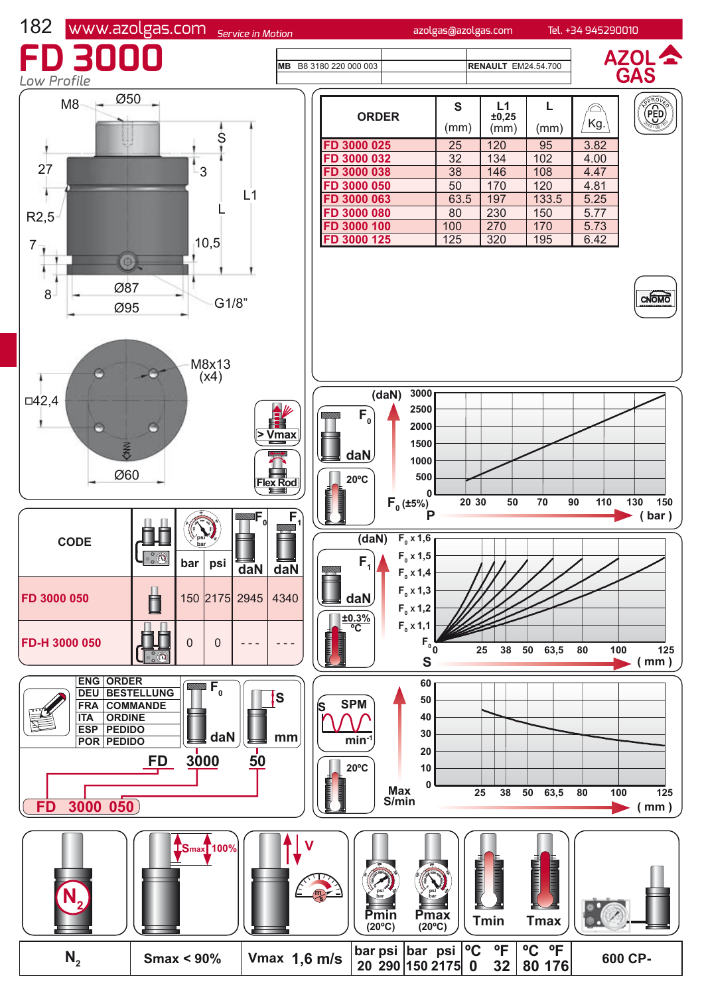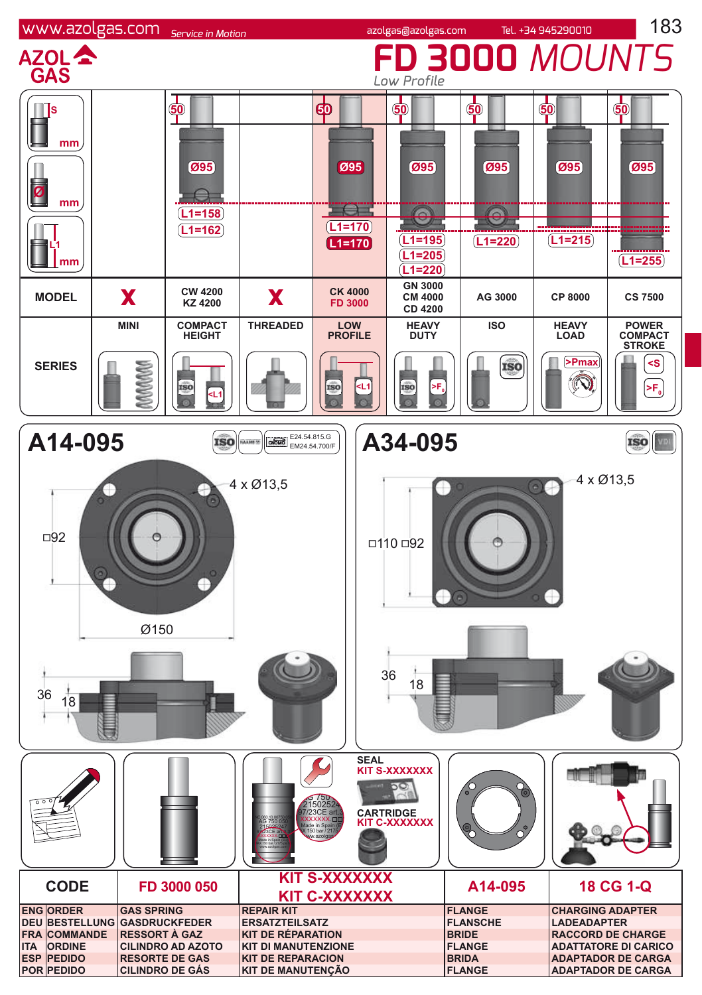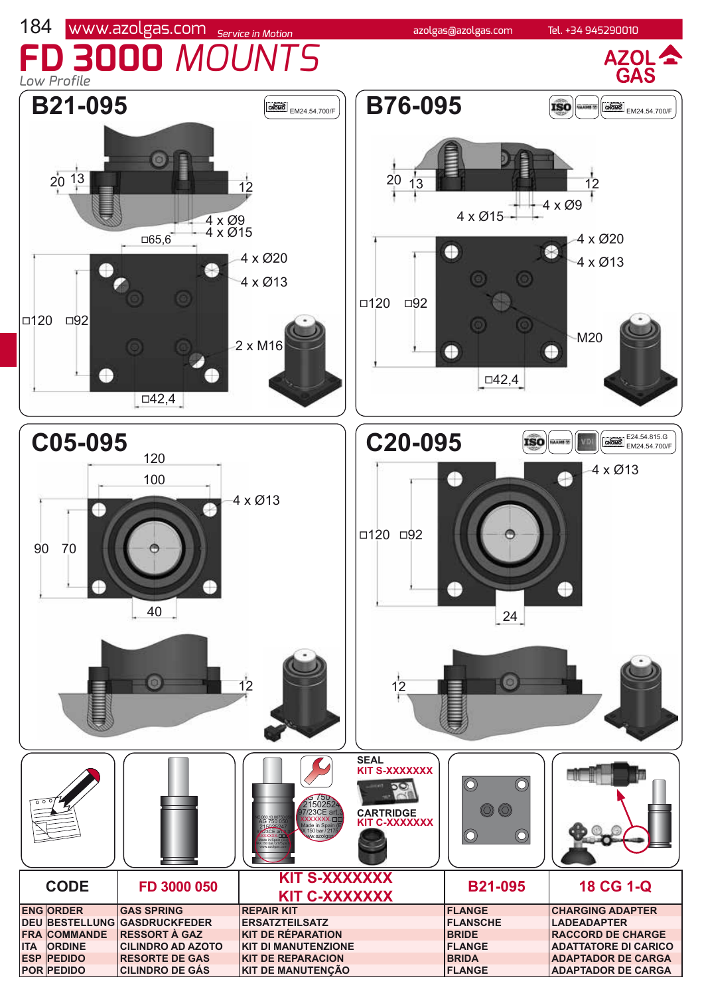